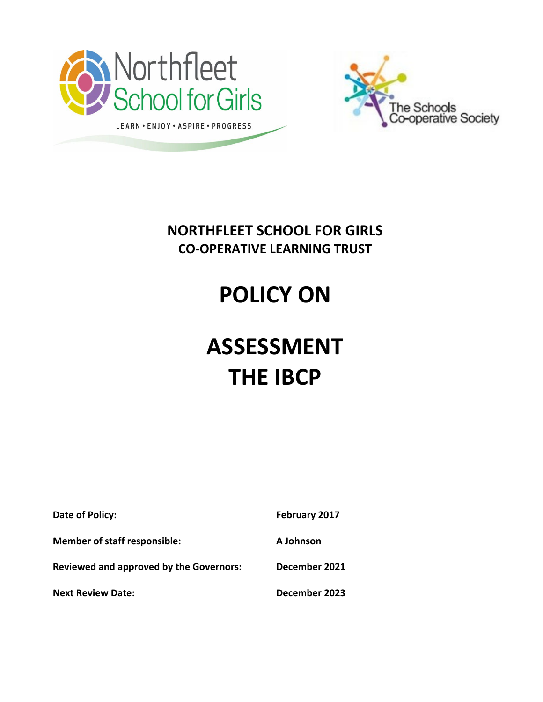



### **NORTHFLEET SCHOOL FOR GIRLS CO-OPERATIVE LEARNING TRUST**

# **POLICY ON**

## **ASSESSMENT THE IBCP**

| Date of Policy:                                | February 2017 |
|------------------------------------------------|---------------|
| <b>Member of staff responsible:</b>            | A Johnson     |
| <b>Reviewed and approved by the Governors:</b> | December 2021 |
| <b>Next Review Date:</b>                       | December 2023 |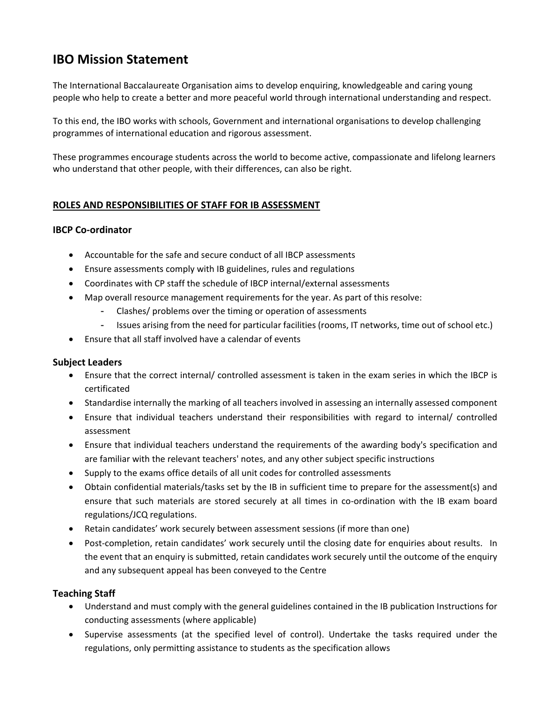### **IBO Mission Statement**

The International Baccalaureate Organisation aims to develop enquiring, knowledgeable and caring young people who help to create a better and more peaceful world through international understanding and respect.

To this end, the IBO works with schools, Government and international organisations to develop challenging programmes of international education and rigorous assessment.

These programmes encourage students across the world to become active, compassionate and lifelong learners who understand that other people, with their differences, can also be right.

#### **ROLES AND RESPONSIBILITIES OF STAFF FOR IB ASSESSMENT**

#### **IBCP Co-ordinator**

- Accountable for the safe and secure conduct of all IBCP assessments
- Ensure assessments comply with IB guidelines, rules and regulations
- Coordinates with CP staff the schedule of IBCP internal/external assessments
- Map overall resource management requirements for the year. As part of this resolve:
	- Clashes/ problems over the timing or operation of assessments
	- Issues arising from the need for particular facilities (rooms, IT networks, time out of school etc.)
- Ensure that all staff involved have a calendar of events

#### **Subject Leaders**

- Ensure that the correct internal/ controlled assessment is taken in the exam series in which the IBCP is certificated
- Standardise internally the marking of all teachers involved in assessing an internally assessed component
- Ensure that individual teachers understand their responsibilities with regard to internal/ controlled assessment
- Ensure that individual teachers understand the requirements of the awarding body's specification and are familiar with the relevant teachers' notes, and any other subject specific instructions
- Supply to the exams office details of all unit codes for controlled assessments
- Obtain confidential materials/tasks set by the IB in sufficient time to prepare for the assessment(s) and ensure that such materials are stored securely at all times in co-ordination with the IB exam board regulations/JCQ regulations.
- Retain candidates' work securely between assessment sessions (if more than one)
- Post-completion, retain candidates' work securely until the closing date for enquiries about results. In the event that an enquiry is submitted, retain candidates work securely until the outcome of the enquiry and any subsequent appeal has been conveyed to the Centre

#### **Teaching Staff**

- Understand and must comply with the general guidelines contained in the IB publication Instructions for conducting assessments (where applicable)
- Supervise assessments (at the specified level of control). Undertake the tasks required under the regulations, only permitting assistance to students as the specification allows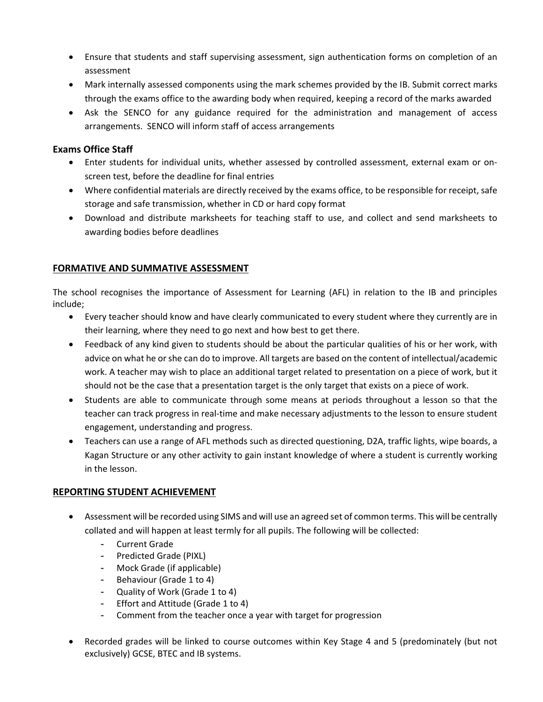- Ensure that students and staff supervising assessment, sign authentication forms on completion of an assessment
- Mark internally assessed components using the mark schemes provided by the IB. Submit correct marks through the exams office to the awarding body when required, keeping a record of the marks awarded
- Ask the SENCO for any guidance required for the administration and management of access arrangements. SENCO will inform staff of access arrangements

#### **Exams Office Staff**

- Enter students for individual units, whether assessed by controlled assessment, external exam or onscreen test, before the deadline for final entries
- Where confidential materials are directly received by the exams office, to be responsible for receipt, safe storage and safe transmission, whether in CD or hard copy format
- Download and distribute marksheets for teaching staff to use, and collect and send marksheets to awarding bodies before deadlines

#### **FORMATIVE AND SUMMATIVE ASSESSMENT**

The school recognises the importance of Assessment for Learning (AFL) in relation to the IB and principles include;

- Every teacher should know and have clearly communicated to every student where they currently are in their learning, where they need to go next and how best to get there.
- Feedback of any kind given to students should be about the particular qualities of his or her work, with advice on what he or she can do to improve. All targets are based on the content of intellectual/academic work. A teacher may wish to place an additional target related to presentation on a piece of work, but it should not be the case that a presentation target is the only target that exists on a piece of work.
- Students are able to communicate through some means at periods throughout a lesson so that the teacher can track progress in real‐time and make necessary adjustments to the lesson to ensure student engagement, understanding and progress.
- Teachers can use a range of AFL methods such as directed questioning, D2A, traffic lights, wipe boards, a Kagan Structure or any other activity to gain instant knowledge of where a student is currently working in the lesson.

#### **REPORTING STUDENT ACHIEVEMENT**

- Assessment will be recorded using SIMS and will use an agreed set of common terms. This will be centrally collated and will happen at least termly for all pupils. The following will be collected:
	- Current Grade
	- Predicted Grade (PIXL)
	- Mock Grade (if applicable)
	- Behaviour (Grade 1 to 4)
	- Quality of Work (Grade 1 to 4)
	- Effort and Attitude (Grade 1 to 4)
	- Comment from the teacher once a year with target for progression
- Recorded grades will be linked to course outcomes within Key Stage 4 and 5 (predominately (but not exclusively) GCSE, BTEC and IB systems.